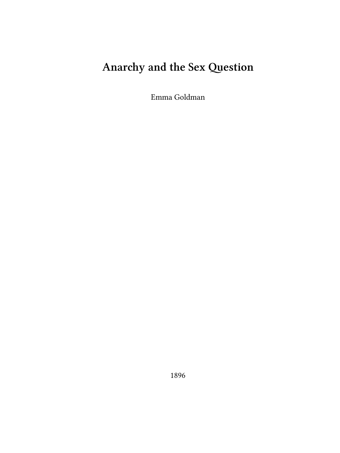# **Anarchy and the Sex Question**

Emma Goldman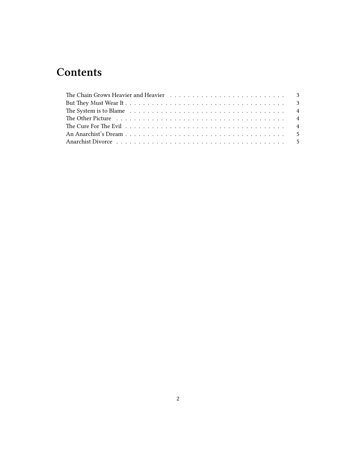# **Contents**

| The System is to Blame $\dots \dots \dots \dots \dots \dots \dots \dots \dots \dots \dots \dots \dots \dots$ |  |
|--------------------------------------------------------------------------------------------------------------|--|
|                                                                                                              |  |
|                                                                                                              |  |
|                                                                                                              |  |
|                                                                                                              |  |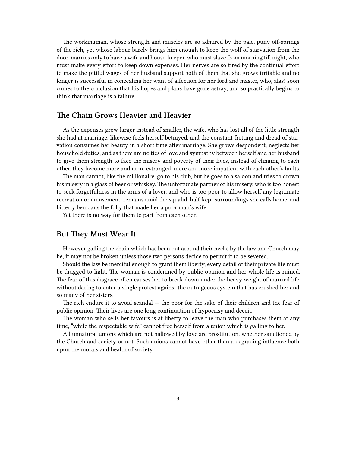The workingman, whose strength and muscles are so admired by the pale, puny off-springs of the rich, yet whose labour barely brings him enough to keep the wolf of starvation from the door, marries only to have a wife and house-keeper, who must slave from morning till night, who must make every effort to keep down expenses. Her nerves are so tired by the continual effort to make the pitiful wages of her husband support both of them that she grows irritable and no longer is successful in concealing her want of affection for her lord and master, who, alas! soon comes to the conclusion that his hopes and plans have gone astray, and so practically begins to think that marriage is a failure.

#### <span id="page-2-0"></span>**The Chain Grows Heavier and Heavier**

As the expenses grow larger instead of smaller, the wife, who has lost all of the little strength she had at marriage, likewise feels herself betrayed, and the constant fretting and dread of starvation consumes her beauty in a short time after marriage. She grows despondent, neglects her household duties, and as there are no ties of love and sympathy between herself and her husband to give them strength to face the misery and poverty of their lives, instead of clinging to each other, they become more and more estranged, more and more impatient with each other's faults.

The man cannot, like the millionaire, go to his club, but he goes to a saloon and tries to drown his misery in a glass of beer or whiskey. The unfortunate partner of his misery, who is too honest to seek forgetfulness in the arms of a lover, and who is too poor to allow herself any legitimate recreation or amusement, remains amid the squalid, half-kept surroundings she calls home, and bitterly bemoans the folly that made her a poor man's wife.

Yet there is no way for them to part from each other.

#### <span id="page-2-1"></span>**But They Must Wear It**

However galling the chain which has been put around their necks by the law and Church may be, it may not be broken unless those two persons decide to permit it to be severed.

Should the law be merciful enough to grant them liberty, every detail of their private life must be dragged to light. The woman is condemned by public opinion and her whole life is ruined. The fear of this disgrace often causes her to break down under the heavy weight of married life without daring to enter a single protest against the outrageous system that has crushed her and so many of her sisters.

The rich endure it to avoid scandal — the poor for the sake of their children and the fear of public opinion. Their lives are one long continuation of hypocrisy and deceit.

The woman who sells her favours is at liberty to leave the man who purchases them at any time, "while the respectable wife" cannot free herself from a union which is galling to her.

All unnatural unions which are not hallowed by love are prostitution, whether sanctioned by the Church and society or not. Such unions cannot have other than a degrading influence both upon the morals and health of society.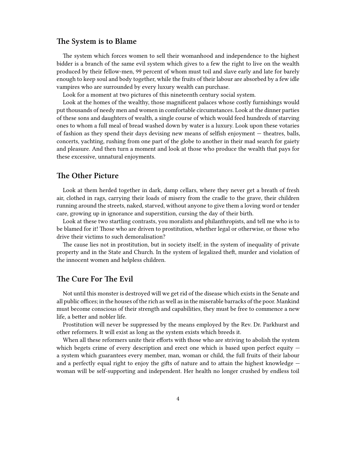#### <span id="page-3-0"></span>**The System is to Blame**

The system which forces women to sell their womanhood and independence to the highest bidder is a branch of the same evil system which gives to a few the right to live on the wealth produced by their fellow-men, 99 percent of whom must toil and slave early and late for barely enough to keep soul and body together, while the fruits of their labour are absorbed by a few idle vampires who are surrounded by every luxury wealth can purchase.

Look for a moment at two pictures of this nineteenth century social system.

Look at the homes of the wealthy, those magnificent palaces whose costly furnishings would put thousands of needy men and women in comfortable circumstances. Look at the dinner parties of these sons and daughters of wealth, a single course of which would feed hundreds of starving ones to whom a full meal of bread washed down by water is a luxury. Look upon these votaries of fashion as they spend their days devising new means of selfish enjoyment — theatres, balls, concerts, yachting, rushing from one part of the globe to another in their mad search for gaiety and pleasure. And then turn a moment and look at those who produce the wealth that pays for these excessive, unnatural enjoyments.

# <span id="page-3-1"></span>**The Other Picture**

Look at them herded together in dark, damp cellars, where they never get a breath of fresh air, clothed in rags, carrying their loads of misery from the cradle to the grave, their children running around the streets, naked, starved, without anyone to give them a loving word or tender care, growing up in ignorance and superstition, cursing the day of their birth.

Look at these two startling contrasts, you moralists and philanthropists, and tell me who is to be blamed for it! Those who are driven to prostitution, whether legal or otherwise, or those who drive their victims to such demoralisation?

The cause lies not in prostitution, but in society itself; in the system of inequality of private property and in the State and Church. In the system of legalized theft, murder and violation of the innocent women and helpless children.

### <span id="page-3-2"></span>**The Cure For The Evil**

Not until this monster is destroyed will we get rid of the disease which exists in the Senate and all public offices; in the houses of the rich as well as in the miserable barracks of the poor. Mankind must become conscious of their strength and capabilities, they must be free to commence a new life, a better and nobler life.

Prostitution will never be suppressed by the means employed by the Rev. Dr. Parkhurst and other reformers. It will exist as long as the system exists which breeds it.

When all these reformers unite their efforts with those who are striving to abolish the system which begets crime of every description and erect one which is based upon perfect equity – a system which guarantees every member, man, woman or child, the full fruits of their labour and a perfectly equal right to enjoy the gifts of nature and to attain the highest knowledge woman will be self-supporting and independent. Her health no longer crushed by endless toil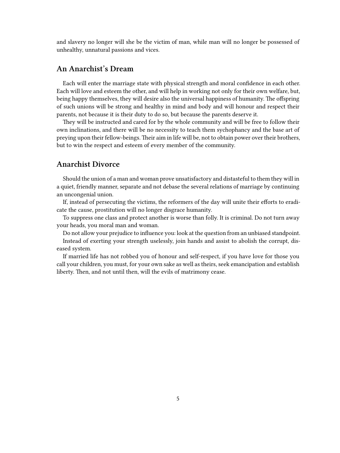and slavery no longer will she be the victim of man, while man will no longer be possessed of unhealthy, unnatural passions and vices.

## <span id="page-4-0"></span>**An Anarchist's Dream**

Each will enter the marriage state with physical strength and moral confidence in each other. Each will love and esteem the other, and will help in working not only for their own welfare, but, being happy themselves, they will desire also the universal happiness of humanity. The offspring of such unions will be strong and healthy in mind and body and will honour and respect their parents, not because it is their duty to do so, but because the parents deserve it.

They will be instructed and cared for by the whole community and will be free to follow their own inclinations, and there will be no necessity to teach them sychophancy and the base art of preying upon their fellow-beings. Their aim in life will be, not to obtain power over their brothers, but to win the respect and esteem of every member of the community.

# <span id="page-4-1"></span>**Anarchist Divorce**

Should the union of a man and woman prove unsatisfactory and distasteful to them they will in a quiet, friendly manner, separate and not debase the several relations of marriage by continuing an uncongenial union.

If, instead of persecuting the victims, the reformers of the day will unite their efforts to eradicate the cause, prostitution will no longer disgrace humanity.

To suppress one class and protect another is worse than folly. It is criminal. Do not turn away your heads, you moral man and woman.

Do not allow your prejudice to influence you: look at the question from an unbiased standpoint. Instead of exerting your strength uselessly, join hands and assist to abolish the corrupt, diseased system.

If married life has not robbed you of honour and self-respect, if you have love for those you call your children, you must, for your own sake as well as theirs, seek emancipation and establish liberty. Then, and not until then, will the evils of matrimony cease.